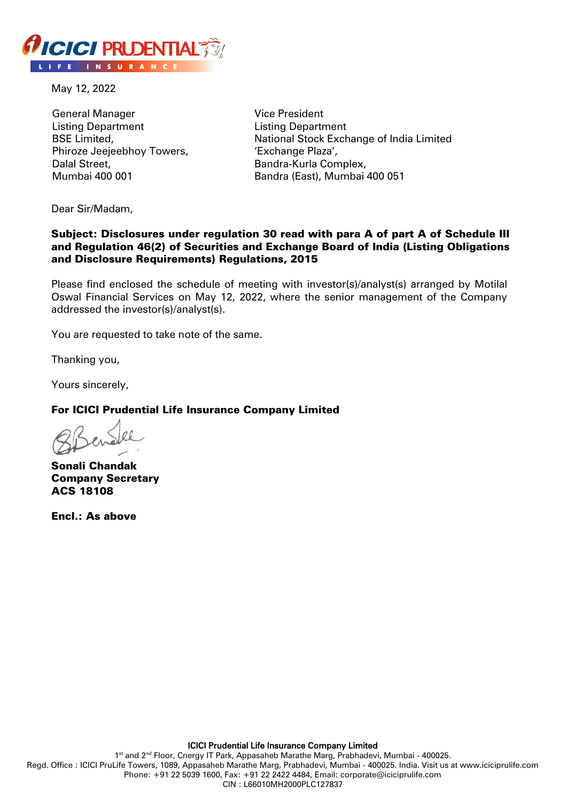

May 12, 2022

General Manager Listing Department BSE Limited, Phiroze Jeejeebhoy Towers, Dalal Street, Mumbai 400 001

Vice President Listing Department National Stock Exchange of India Limited 'Exchange Plaza', Bandra-Kurla Complex, Bandra (East), Mumbai 400 051

Dear Sir/Madam,

## Subject: Disclosures under regulation 30 read with para A of part A of Schedule III and Regulation 46(2) of Securities and Exchange Board of India (Listing Obligations and Disclosure Requirements) Regulations, 2015

Please find enclosed the schedule of meeting with investor(s)/analyst(s) arranged by Motilal Oswal Financial Services on May 12, 2022, where the senior management of the Company addressed the investor(s)/analyst(s).

You are requested to take note of the same.

Thanking you,

Yours sincerely,

## For ICICI Prudential Life Insurance Company Limited

Sonali Chandak Company Secretary ACS 18108

Encl.: As above